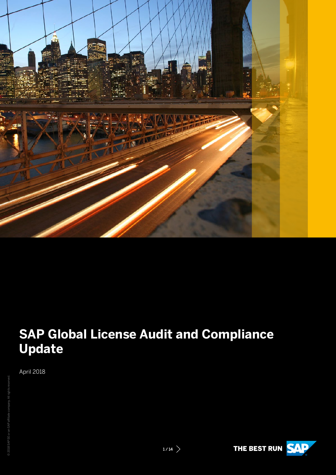

# **SAP Global License Audit and Compliance Update**

April 2018

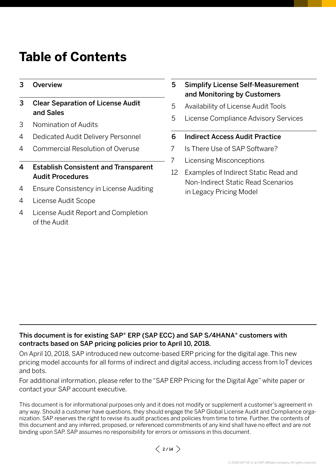# **Table of Contents**

- 3 [Overview](#page-2-0)
- 3 [Clear Separation of License Audit](#page-2-0)  [and Sales](#page-2-0)
- 3 [Nomination of Audits](#page-2-0)
- 4 [Dedicated Audit Delivery Personnel](#page-3-0)
- 4 [Commercial Resolution of Overuse](#page-3-0)
- [4 Establish](#page-3-0) Consistent and Transparent [Audit Procedures](#page-3-0)
- 4 [Ensure Consistency in License Auditing](#page-3-0)
- 4 [License Audit Scope](#page-3-0)
- 4 [License Audit Report and Completion](#page-3-0)  [of the Audit](#page-3-0)
- 5 [Simplify License Self-Measurement](#page-4-0)  and [Monitoring](#page-4-0) by Customers
- 5 [Availability of License Audit Tools](#page-4-0)
- 5 [License Compliance Advisory Services](#page-4-0)
- 6 [Indirect Access Audit Practice](#page-5-0)
- 7 [Is There Use of SAP Software?](#page-6-0)
- 7 [Licensing Misconceptions](#page-6-0)
- 12 [Examples of Indirect Static Read and](#page-12-0)  [Non-Indirect Static Read Scenarios](#page-12-0)  [in Legacy Pricing Model](#page-12-0)

# This document is for existing SAP® ERP (SAP ECC) and SAP S/4HANA® customers with contracts based on SAP pricing policies prior to April 10, 2018.

On April 10, 2018, SAP introduced new outcome-based ERP pricing for the digital age. This new pricing model accounts for all forms of indirect and digital access, including access from IoT devices and bots.

For additional information, please refer to the "SAP ERP Pricing for the Digital Age" white paper or contact your SAP account executive.

This document is for informational purposes only and it does not modify or supplement a customer's agreement in any way. Should a customer have questions, they should engage the SAP Global License Audit and Compliance organization. SAP reserves the right to revise its audit practices and policies from time to time. Further, the contents of this document and any inferred, proposed, or referenced commitments of any kind shall have no effect and are not binding upon SAP. SAP assumes no responsibility for errors or omissions in this document.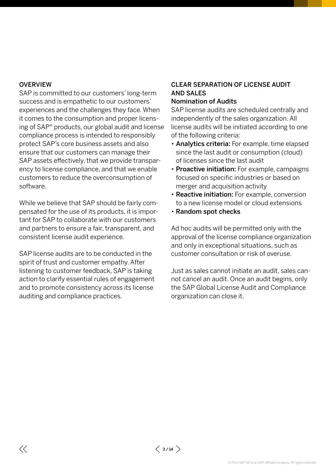## <span id="page-2-0"></span>**OVERVIEW**

 $\ll$ 

SAP is committed to our customers' long-term success and is empathetic to our customers' experiences and the challenges they face. When it comes to the consumption and proper licensing of SAP® products, our global audit and license compliance process is intended to responsibly protect SAP's core business assets and also ensure that our customers can manage their SAP assets effectively, that we provide transparency to license compliance, and that we enable customers to reduce the overconsumption of software.

While we believe that SAP should be fairly compensated for the use of its products, it is important for SAP to collaborate with our customers and partners to ensure a fair, transparent, and consistent license audit experience.

SAP license audits are to be conducted in the spirit of trust and customer empathy. After listening to customer feedback, SAP is taking action to clarify essential rules of engagement and to promote consistency across its license auditing and compliance practices.

# CLEAR SEPARATION OF LICENSE AUDIT AND SALES

# Nomination of Audits

SAP license audits are scheduled centrally and independently of the sales organization. All license audits will be initiated according to one of the following criteria:

- Analytics criteria: For example, time elapsed since the last audit or consumption (cloud) of licenses since the last audit
- Proactive initiation: For example, campaigns focused on specific industries or based on merger and acquisition activity
- Reactive initiation: For example, conversion to a new license model or cloud extensions
- Random spot checks

Ad hoc audits will be permitted only with the approval of the license compliance organization and only in exceptional situations, such as customer consultation or risk of overuse.

Just as sales cannot initiate an audit, sales cannot cancel an audit. Once an audit begins, only the SAP Global License Audit and Compliance organization can close it.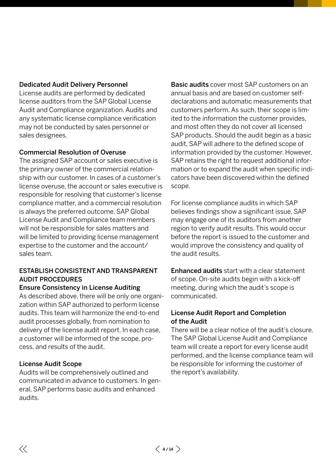## <span id="page-3-0"></span>Dedicated Audit Delivery Personnel

License audits are performed by dedicated license auditors from the SAP Global License Audit and Compliance organization. Audits and any systematic license compliance verification may not be conducted by sales personnel or sales designees.

# Commercial Resolution of Overuse

The assigned SAP account or sales executive is the primary owner of the commercial relationship with our customer. In cases of a customer's license overuse, the account or sales executive is responsible for resolving that customer's license compliance matter, and a commercial resolution is always the preferred outcome. SAP Global License Audit and Compliance team members will not be responsible for sales matters and will be limited to providing license management expertise to the customer and the account/ sales team.

# ESTABLISH CONSISTENT AND TRANSPARENT AUDIT PROCEDURES

### Ensure Consistency in License Auditing

As described above, there will be only one organization within SAP authorized to perform license audits. This team will harmonize the end-to-end audit processes globally, from nomination to delivery of the license audit report. In each case, a customer will be informed of the scope, process, and results of the audit.

### License Audit Scope

Audits will be comprehensively outlined and communicated in advance to customers. In general, SAP performs basic audits and enhanced audits.

Basic audits cover most SAP customers on an annual basis and are based on customer selfdeclarations and automatic measurements that customers perform. As such, their scope is limited to the information the customer provides, and most often they do not cover all licensed SAP products. Should the audit begin as a basic audit, SAP will adhere to the defined scope of information provided by the customer. However, SAP retains the right to request additional information or to expand the audit when specific indicators have been discovered within the defined scope.

For license compliance audits in which SAP believes findings show a significant issue, SAP may engage one of its auditors from another region to verify audit results. This would occur before the report is issued to the customer and would improve the consistency and quality of the audit results.

Enhanced audits start with a clear statement of scope. On-site audits begin with a kick-off meeting, during which the audit's scope is communicated.

## License Audit Report and Completion of the Audit

There will be a clear notice of the audit's closure. The SAP Global License Audit and Compliance team will create a report for every license audit performed, and the license compliance team will be responsible for informing the customer of the report's availability.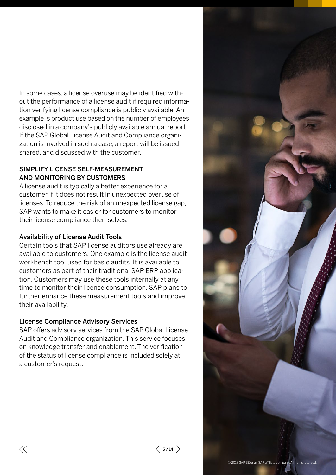<span id="page-4-0"></span>In some cases, a license overuse may be identified without the performance of a license audit if required information verifying license compliance is publicly available. An example is product use based on the number of employees disclosed in a company's publicly available annual report. If the SAP Global License Audit and Compliance organization is involved in such a case, a report will be issued, shared, and discussed with the customer.

# SIMPLIFY LICENSE SELF-MEASUREMENT AND MONITORING BY CUSTOMERS

A license audit is typically a better experience for a customer if it does not result in unexpected overuse of licenses. To reduce the risk of an unexpected license gap, SAP wants to make it easier for customers to monitor their license compliance themselves.

# Availability of License Audit Tools

Certain tools that SAP license auditors use already are available to customers. One example is the license audit workbench tool used for basic audits. It is available to customers as part of their traditional SAP ERP application. Customers may use these tools internally at any time to monitor their license consumption. SAP plans to further enhance these measurement tools and improve their availability.

# License Compliance Advisory Services

SAP offers advisory services from the SAP Global License Audit and Compliance organization. This service focuses on knowledge transfer and enablement. The verification of the status of license compliance is included solely at a customer's request.

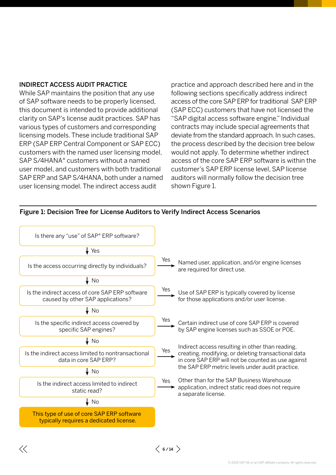### <span id="page-5-0"></span>INDIRECT ACCESS AUDIT PRACTICE

While SAP maintains the position that any use of SAP software needs to be properly licensed, this document is intended to provide additional clarity on SAP's license audit practices. SAP has various types of customers and corresponding licensing models. These include traditional SAP ERP (SAP ERP Central Component or SAP ECC) customers with the named user licensing model, SAP S/4HANA® customers without a named user model, and customers with both traditional SAP ERP and SAP S/4HANA, both under a named user licensing model. The indirect access audit

practice and approach described here and in the following sections specifically address indirect access of the core SAP ERP for traditional SAP ERP (SAP ECC) customers that have not licensed the "SAP digital access software engine." Individual contracts may include special agreements that deviate from the standard approach. In such cases, the process described by the decision tree below would not apply. To determine whether indirect access of the core SAP ERP software is within the customer's SAP ERP license level, SAP license auditors will normally follow the decision tree shown Figure 1.



#### Figure 1: Decision Tree for License Auditors to Verify Indirect Access Scenarios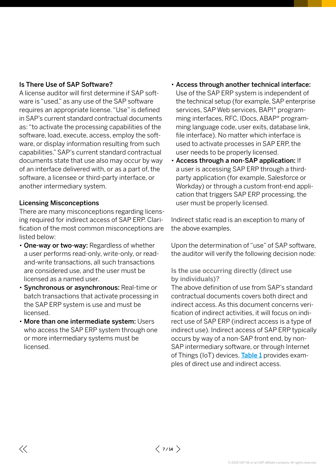# <span id="page-6-0"></span>Is There Use of SAP Software?

A license auditor will first determine if SAP software is "used," as any use of the SAP software requires an appropriate license. "Use" is defined in SAP's current standard contractual documents as: "to activate the processing capabilities of the software, load, execute, access, employ the software, or display information resulting from such capabilities." SAP's current standard contractual documents state that use also may occur by way of an interface delivered with, or as a part of, the software, a licensee or third-party interface, or another intermediary system.

# Licensing Misconceptions

There are many misconceptions regarding licensing required for indirect access of SAP ERP. Clarification of the most common misconceptions are listed below:

- One-way or two-way: Regardless of whether a user performs read-only, write-only, or readand-write transactions, all such transactions are considered use, and the user must be licensed as a named user.
- Synchronous or asynchronous: Real-time or batch transactions that activate processing in the SAP ERP system is use and must be licensed.
- More than one intermediate system: Users who access the SAP ERP system through one or more intermediary systems must be licensed.
- Access through another technical interface: Use of the SAP ERP system is independent of the technical setup (for example, SAP enterprise services, SAP Web services, BAPI® programming interfaces, RFC, IDocs, ABAP® programming language code, user exits, database link, file interface). No matter which interface is used to activate processes in SAP ERP, the user needs to be properly licensed.
- Access through a non-SAP application: If a user is accessing SAP ERP through a thirdparty application (for example, Salesforce or Workday) or through a custom front-end application that triggers SAP ERP processing, the user must be properly licensed.

Indirect static read is an exception to many of the above examples.

Upon the determination of "use" of SAP software, the auditor will verify the following decision node:

# Is the use occurring directly (direct use by individuals)?

The above definition of use from SAP's standard contractual documents covers both direct and indirect access. As this document concerns verification of indirect activities, it will focus on indirect use of SAP ERP (indirect access is a type of indirect use). Indirect access of SAP ERP typically occurs by way of a non-SAP front end, by non-SAP intermediary software, or through Internet of Things (IoT) devices. [Table](#page-7-0) 1 provides examples of direct use and indirect access.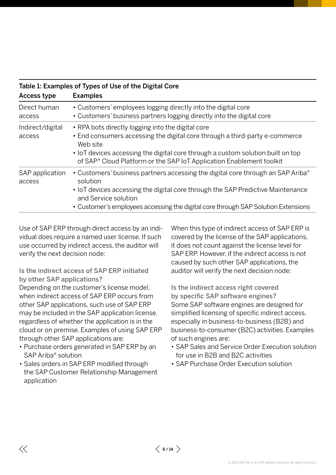| Table 1. Examples of Types of Ose of the Digital Core |                                                                                                                                                                                                                                                                                                                     |  |  |  |
|-------------------------------------------------------|---------------------------------------------------------------------------------------------------------------------------------------------------------------------------------------------------------------------------------------------------------------------------------------------------------------------|--|--|--|
| Access type                                           | <b>Examples</b>                                                                                                                                                                                                                                                                                                     |  |  |  |
| Direct human<br>access                                | • Customers' employees logging directly into the digital core<br>• Customers' business partners logging directly into the digital core                                                                                                                                                                              |  |  |  |
| Indirect/digital<br>access                            | • RPA bots directly logging into the digital core<br>• End consumers accessing the digital core through a third-party e-commerce<br>Web site<br>• IoT devices accessing the digital core through a custom solution built on top<br>of SAP <sup>®</sup> Cloud Platform or the SAP IoT Application Enablement toolkit |  |  |  |
| SAP application<br>access                             | • Customers' business partners accessing the digital core through an SAP Ariba®<br>solution<br>• IoT devices accessing the digital core through the SAP Predictive Maintenance<br>and Service solution<br>• Customer's employees accessing the digital core through SAP Solution Extensions                         |  |  |  |

# <span id="page-7-0"></span>Table 1: Examples of Types of Use of the Digital Core

Use of SAP ERP through direct access by an individual does require a named user license. If such use occurred by indirect access, the auditor will verify the next decision node:

Is the indirect access of SAP ERP initiated by other SAP applications?

Depending on the customer's license model, when indirect access of SAP ERP occurs from other SAP applications, such use of SAP ERP may be included in the SAP application license, regardless of whether the application is in the cloud or on premise. Examples of using SAP ERP through other SAP applications are:

- Purchase orders generated in SAP ERP by an SAP Ariba® solution
- Sales orders in SAP ERP modified through the SAP Customer Relationship Management application

When this type of indirect access of SAP ERP is covered by the license of the SAP applications, it does not count against the license level for SAP ERP. However, if the indirect access is not caused by such other SAP applications, the auditor will verify the next decision node:

Is the indirect access right covered by specific SAP software engines? Some SAP software engines are designed for simplified licensing of specific indirect access, especially in business-to-business (B2B) and business-to-consumer (B2C) activities. Examples of such engines are:

- SAP Sales and Service Order Execution solution for use in B2B and B2C activities
- SAP Purchase Order Execution solution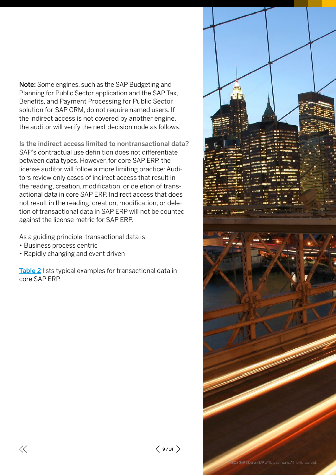Note: Some engines, such as the SAP Budgeting and Planning for Public Sector application and the SAP Tax, Benefits, and Payment Processing for Public Sector solution for SAP CRM, do not require named users. If the indirect access is not covered by another engine, the auditor will verify the next decision node as follows:

Is the indirect access limited to nontransactional data? SAP's contractual use definition does not differentiate between data types. However, for core SAP ERP, the license auditor will follow a more limiting practice: Auditors review only cases of indirect access that result in the reading, creation, modification, or deletion of transactional data in core SAP ERP. Indirect access that does not result in the reading, creation, modification, or deletion of transactional data in SAP ERP will not be counted against the license metric for SAP ERP.

As a guiding principle, transactional data is:

- Business process centric
- Rapidly changing and event driven

[Table](#page-10-0) 2 lists typical examples for transactional data in core SAP ERP.

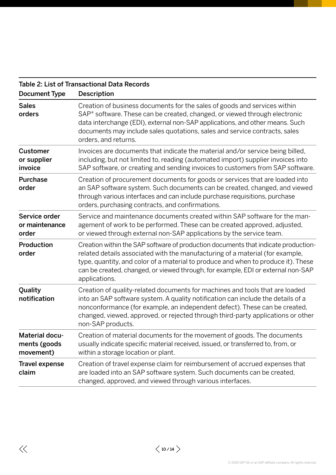| <b>Document Type</b>                        | Table 2. List of Trafisactional Data Records<br><b>Description</b>                                                                                                                                                                                                                                                                                            |  |
|---------------------------------------------|---------------------------------------------------------------------------------------------------------------------------------------------------------------------------------------------------------------------------------------------------------------------------------------------------------------------------------------------------------------|--|
| <b>Sales</b><br>orders                      | Creation of business documents for the sales of goods and services within<br>SAP <sup>®</sup> software. These can be created, changed, or viewed through electronic<br>data interchange (EDI), external non-SAP applications, and other means. Such<br>documents may include sales quotations, sales and service contracts, sales<br>orders, and returns.     |  |
| <b>Customer</b><br>or supplier<br>invoice   | Invoices are documents that indicate the material and/or service being billed,<br>including, but not limited to, reading (automated import) supplier invoices into<br>SAP software, or creating and sending invoices to customers from SAP software.                                                                                                          |  |
| <b>Purchase</b><br>order                    | Creation of procurement documents for goods or services that are loaded into<br>an SAP software system. Such documents can be created, changed, and viewed<br>through various interfaces and can include purchase requisitions, purchase<br>orders, purchasing contracts, and confirmations.                                                                  |  |
| Service order<br>or maintenance<br>order    | Service and maintenance documents created within SAP software for the man-<br>agement of work to be performed. These can be created approved, adjusted,<br>or viewed through external non-SAP applications by the service team.                                                                                                                               |  |
| Production<br>order                         | Creation within the SAP software of production documents that indicate production-<br>related details associated with the manufacturing of a material (for example,<br>type, quantity, and color of a material to produce and when to produce it). These<br>can be created, changed, or viewed through, for example, EDI or external non-SAP<br>applications. |  |
| Quality<br>notification                     | Creation of quality-related documents for machines and tools that are loaded<br>into an SAP software system. A quality notification can include the details of a<br>nonconformance (for example, an independent defect). These can be created,<br>changed, viewed, approved, or rejected through third-party applications or other<br>non-SAP products.       |  |
| Material docu-<br>ments (goods<br>movement) | Creation of material documents for the movement of goods. The documents<br>usually indicate specific material received, issued, or transferred to, from, or<br>within a storage location or plant.                                                                                                                                                            |  |
| <b>Travel expense</b><br>claim              | Creation of travel expense claim for reimbursement of accrued expenses that<br>are loaded into an SAP software system. Such documents can be created,<br>changed, approved, and viewed through various interfaces.                                                                                                                                            |  |

# Table 2: List of Transactional Data Records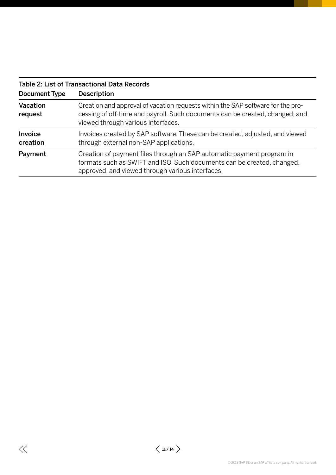<span id="page-10-0"></span>

| Table 2: List of Transactional Data Records |                                                                                                                                                                                                       |  |  |  |
|---------------------------------------------|-------------------------------------------------------------------------------------------------------------------------------------------------------------------------------------------------------|--|--|--|
| Document Type                               | <b>Description</b>                                                                                                                                                                                    |  |  |  |
| Vacation<br>request                         | Creation and approval of vacation requests within the SAP software for the pro-<br>cessing of off-time and payroll. Such documents can be created, changed, and<br>viewed through various interfaces. |  |  |  |
| Invoice<br>creation                         | Invoices created by SAP software. These can be created, adjusted, and viewed<br>through external non-SAP applications.                                                                                |  |  |  |
| Payment                                     | Creation of payment files through an SAP automatic payment program in<br>formats such as SWIFT and ISO. Such documents can be created, changed,<br>approved, and viewed through various interfaces.   |  |  |  |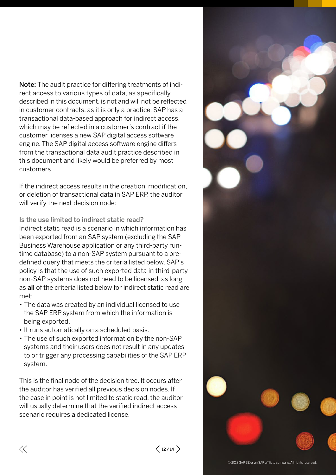Note: The audit practice for differing treatments of indirect access to various types of data, as specifically described in this document, is not and will not be reflected in customer contracts, as it is only a practice. SAP has a transactional data-based approach for indirect access, which may be reflected in a customer's contract if the customer licenses a new SAP digital access software engine. The SAP digital access software engine differs from the transactional data audit practice described in this document and likely would be preferred by most customers.

If the indirect access results in the creation, modification, or deletion of transactional data in SAP ERP, the auditor will verify the next decision node:

Is the use limited to indirect static read? Indirect static read is a scenario in which information has been exported from an SAP system (excluding the SAP Business Warehouse application or any third-party runtime database) to a non-SAP system pursuant to a predefined query that meets the criteria listed below. SAP's policy is that the use of such exported data in third-party non-SAP systems does not need to be licensed, as long as all of the criteria listed below for indirect static read are met:

- The data was created by an individual licensed to use the SAP ERP system from which the information is being exported.
- It runs automatically on a scheduled basis.
- The use of such exported information by the non-SAP systems and their users does not result in any updates to or trigger any processing capabilities of the SAP ERP system.

This is the final node of the decision tree. It occurs after the auditor has verified all previous decision nodes. If the case in point is not limited to static read, the auditor will usually determine that the verified indirect access scenario requires a dedicated license.

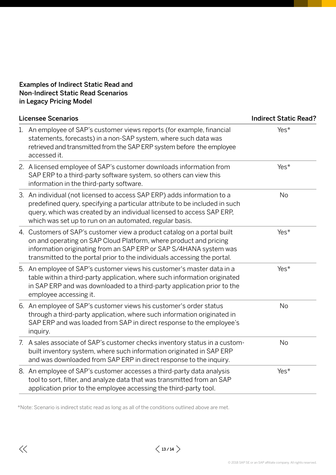# <span id="page-12-0"></span>Examples of Indirect Static Read and Non-Indirect Static Read Scenarios in Legacy Pricing Model

|    | <b>Licensee Scenarios</b>                                                                                                                                                                                                                                                                     | <b>Indirect Static Read?</b> |  |
|----|-----------------------------------------------------------------------------------------------------------------------------------------------------------------------------------------------------------------------------------------------------------------------------------------------|------------------------------|--|
|    | 1. An employee of SAP's customer views reports (for example, financial<br>statements, forecasts) in a non-SAP system, where such data was<br>retrieved and transmitted from the SAP ERP system before the employee<br>accessed it.                                                            | Yes*                         |  |
|    | 2. A licensed employee of SAP's customer downloads information from<br>SAP ERP to a third-party software system, so others can view this<br>information in the third-party software.                                                                                                          | $Yes*$                       |  |
|    | 3. An individual (not licensed to access SAP ERP) adds information to a<br>predefined query, specifying a particular attribute to be included in such<br>query, which was created by an individual licensed to access SAP ERP,<br>which was set up to run on an automated, regular basis.     | No                           |  |
|    | 4. Customers of SAP's customer view a product catalog on a portal built<br>on and operating on SAP Cloud Platform, where product and pricing<br>information originating from an SAP ERP or SAP S/4HANA system was<br>transmitted to the portal prior to the individuals accessing the portal. | Yes*                         |  |
|    | 5. An employee of SAP's customer views his customer's master data in a<br>table within a third-party application, where such information originated<br>in SAP ERP and was downloaded to a third-party application prior to the<br>employee accessing it.                                      | Yes*                         |  |
|    | 6. An employee of SAP's customer views his customer's order status<br>through a third-party application, where such information originated in<br>SAP ERP and was loaded from SAP in direct response to the employee's<br>inquiry.                                                             | No                           |  |
| 7. | A sales associate of SAP's customer checks inventory status in a custom-<br>built inventory system, where such information originated in SAP ERP<br>and was downloaded from SAP ERP in direct response to the inquiry.                                                                        | No                           |  |
|    | 8. An employee of SAP's customer accesses a third-party data analysis<br>tool to sort, filter, and analyze data that was transmitted from an SAP<br>application prior to the employee accessing the third-party tool.                                                                         | Yes*                         |  |

\*Note: Scenario is indirect static read as long as all of the conditions outlined above are met.

 $\langle$  13/14  $\rangle$ 

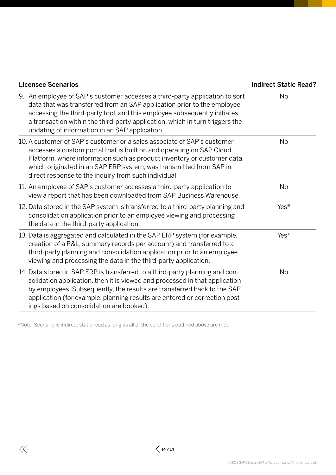| <b>Licensee Scenarios</b>                                                                                                                                                                                                                                                                                                                                            | <b>Indirect Static Read?</b> |
|----------------------------------------------------------------------------------------------------------------------------------------------------------------------------------------------------------------------------------------------------------------------------------------------------------------------------------------------------------------------|------------------------------|
| 9. An employee of SAP's customer accesses a third-party application to sort<br>data that was transferred from an SAP application prior to the employee<br>accessing the third-party tool, and this employee subsequently initiates<br>a transaction within the third-party application, which in turn triggers the<br>updating of information in an SAP application. | No                           |
| 10. A customer of SAP's customer or a sales associate of SAP's customer<br>accesses a custom portal that is built on and operating on SAP Cloud<br>Platform, where information such as product inventory or customer data,<br>which originated in an SAP ERP system, was transmitted from SAP in<br>direct response to the inquiry from such individual.             | No                           |
| 11. An employee of SAP's customer accesses a third-party application to<br>view a report that has been downloaded from SAP Business Warehouse.                                                                                                                                                                                                                       | No                           |
| 12. Data stored in the SAP system is transferred to a third-party planning and<br>consolidation application prior to an employee viewing and processing<br>the data in the third-party application.                                                                                                                                                                  | Yes*                         |
| 13. Data is aggregated and calculated in the SAP ERP system (for example,<br>creation of a P&L, summary records per account) and transferred to a<br>third-party planning and consolidation application prior to an employee<br>viewing and processing the data in the third-party application.                                                                      | $Yes*$                       |
| 14. Data stored in SAP ERP is transferred to a third-party planning and con-<br>solidation application, then it is viewed and processed in that application<br>by employees. Subsequently, the results are transferred back to the SAP<br>application (for example, planning results are entered or correction post-<br>ings based on consolidation are booked).     | No                           |

\*Note: Scenario is indirect static read as long as all of the conditions outlined above are met.